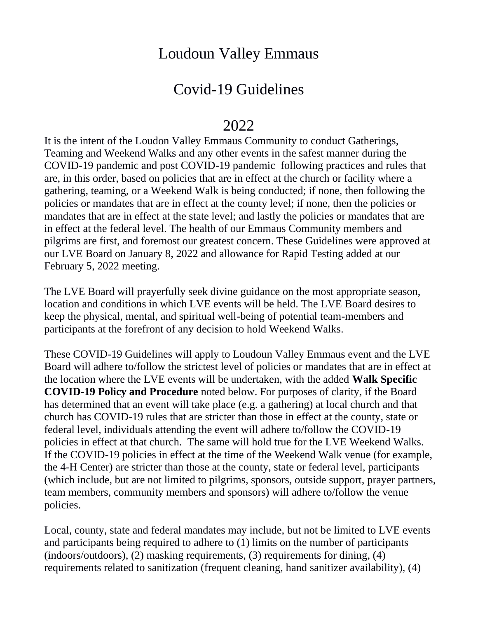## Loudoun Valley Emmaus

## Covid-19 Guidelines

## 2022

It is the intent of the Loudon Valley Emmaus Community to conduct Gatherings, Teaming and Weekend Walks and any other events in the safest manner during the COVID-19 pandemic and post COVID-19 pandemic following practices and rules that are, in this order, based on policies that are in effect at the church or facility where a gathering, teaming, or a Weekend Walk is being conducted; if none, then following the policies or mandates that are in effect at the county level; if none, then the policies or mandates that are in effect at the state level; and lastly the policies or mandates that are in effect at the federal level. The health of our Emmaus Community members and pilgrims are first, and foremost our greatest concern. These Guidelines were approved at our LVE Board on January 8, 2022 and allowance for Rapid Testing added at our February 5, 2022 meeting.

The LVE Board will prayerfully seek divine guidance on the most appropriate season, location and conditions in which LVE events will be held. The LVE Board desires to keep the physical, mental, and spiritual well-being of potential team-members and participants at the forefront of any decision to hold Weekend Walks.

These COVID-19 Guidelines will apply to Loudoun Valley Emmaus event and the LVE Board will adhere to/follow the strictest level of policies or mandates that are in effect at the location where the LVE events will be undertaken, with the added **Walk Specific COVID-19 Policy and Procedure** noted below. For purposes of clarity, if the Board has determined that an event will take place (e.g. a gathering) at local church and that church has COVID-19 rules that are stricter than those in effect at the county, state or federal level, individuals attending the event will adhere to/follow the COVID-19 policies in effect at that church. The same will hold true for the LVE Weekend Walks. If the COVID-19 policies in effect at the time of the Weekend Walk venue (for example, the 4-H Center) are stricter than those at the county, state or federal level, participants (which include, but are not limited to pilgrims, sponsors, outside support, prayer partners, team members, community members and sponsors) will adhere to/follow the venue policies.

Local, county, state and federal mandates may include, but not be limited to LVE events and participants being required to adhere to (1) limits on the number of participants (indoors/outdoors), (2) masking requirements, (3) requirements for dining, (4) requirements related to sanitization (frequent cleaning, hand sanitizer availability), (4)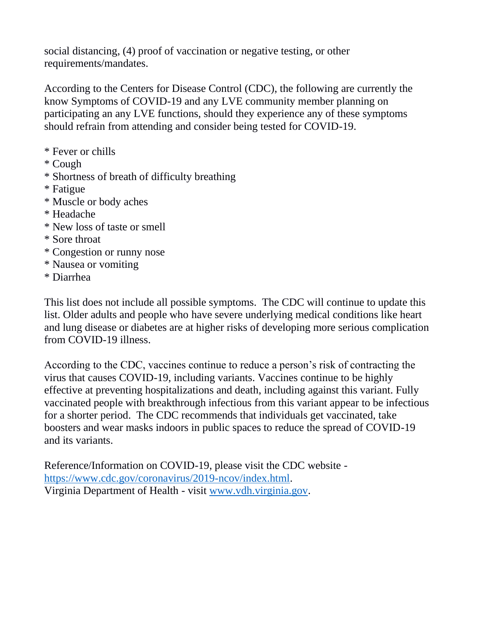social distancing, (4) proof of vaccination or negative testing, or other requirements/mandates.

According to the Centers for Disease Control (CDC), the following are currently the know Symptoms of COVID-19 and any LVE community member planning on participating an any LVE functions, should they experience any of these symptoms should refrain from attending and consider being tested for COVID-19.

- \* Fever or chills
- \* Cough
- \* Shortness of breath of difficulty breathing
- \* Fatigue
- \* Muscle or body aches
- \* Headache
- \* New loss of taste or smell
- \* Sore throat
- \* Congestion or runny nose
- \* Nausea or vomiting
- \* Diarrhea

This list does not include all possible symptoms. The CDC will continue to update this list. Older adults and people who have severe underlying medical conditions like heart and lung disease or diabetes are at higher risks of developing more serious complication from COVID-19 illness.

According to the CDC, vaccines continue to reduce a person's risk of contracting the virus that causes COVID-19, including variants. Vaccines continue to be highly effective at preventing hospitalizations and death, including against this variant. Fully vaccinated people with breakthrough infectious from this variant appear to be infectious for a shorter period. The CDC recommends that individuals get vaccinated, take boosters and wear masks indoors in public spaces to reduce the spread of COVID-19 and its variants.

Reference/Information on COVID-19, please visit the CDC website [https://www.cdc.gov/coronavirus/2019-ncov/index.html.](https://www.cdc.gov/coronavirus/2019-ncov/index.html) Virginia Department of Health - visit [www.vdh.virginia.gov.](http://www.vdh.virginia.gov/)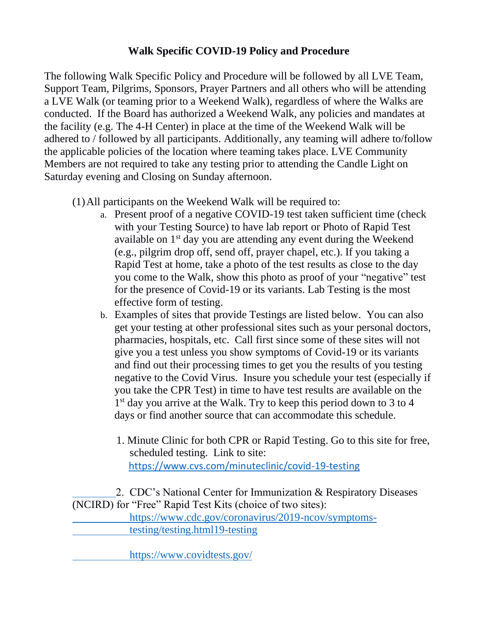## **Walk Specific COVID-19 Policy and Procedure**

The following Walk Specific Policy and Procedure will be followed by all LVE Team, Support Team, Pilgrims, Sponsors, Prayer Partners and all others who will be attending a LVE Walk (or teaming prior to a Weekend Walk), regardless of where the Walks are conducted. If the Board has authorized a Weekend Walk, any policies and mandates at the facility (e.g. The 4-H Center) in place at the time of the Weekend Walk will be adhered to / followed by all participants. Additionally, any teaming will adhere to/follow the applicable policies of the location where teaming takes place. LVE Community Members are not required to take any testing prior to attending the Candle Light on Saturday evening and Closing on Sunday afternoon.

- (1)All participants on the Weekend Walk will be required to:
	- a. Present proof of a negative COVID-19 test taken sufficient time (check with your Testing Source) to have lab report or Photo of Rapid Test available on 1st day you are attending any event during the Weekend (e.g., pilgrim drop off, send off, prayer chapel, etc.). If you taking a Rapid Test at home, take a photo of the test results as close to the day you come to the Walk, show this photo as proof of your "negative" test for the presence of Covid-19 or its variants. Lab Testing is the most effective form of testing.
	- b. Examples of sites that provide Testings are listed below. You can also get your testing at other professional sites such as your personal doctors, pharmacies, hospitals, etc. Call first since some of these sites will not give you a test unless you show symptoms of Covid-19 or its variants and find out their processing times to get you the results of you testing negative to the Covid Virus. Insure you schedule your test (especially if you take the CPR Test) in time to have test results are available on the 1<sup>st</sup> day you arrive at the Walk. Try to keep this period down to 3 to 4 days or find another source that can accommodate this schedule.
		- 1. Minute Clinic for both CPR or Rapid Testing. Go to this site for free, scheduled testing. Link to site: <https://www.cvs.com/minuteclinic/covid-19-testing>

 2. CDC's National Center for Immunization & Respiratory Diseases (NCIRD) for "Free" Rapid Test Kits (choice of two sites): [https://www.cdc.gov/coronavirus/2019-ncov/symptoms](https://www.cdc.gov/coronavirus/2019-ncov/symptoms-) [testing/testing.html19-testing](https://www.cvs.com/minuteclinic/covid-19-testing)

https://www.covidtests.gov/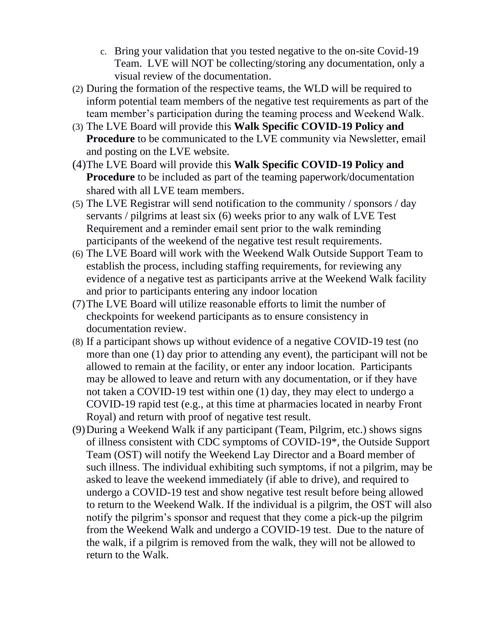- c. Bring your validation that you tested negative to the on-site Covid-19 Team. LVE will NOT be collecting/storing any documentation, only a visual review of the documentation.
- (2) During the formation of the respective teams, the WLD will be required to inform potential team members of the negative test requirements as part of the team member's participation during the teaming process and Weekend Walk.
- (3) The LVE Board will provide this **Walk Specific COVID-19 Policy and Procedure** to be communicated to the LVE community via Newsletter, email and posting on the LVE website.
- (4)The LVE Board will provide this **Walk Specific COVID-19 Policy and Procedure** to be included as part of the teaming paperwork/documentation shared with all LVE team members.
- (5) The LVE Registrar will send notification to the community / sponsors / day servants / pilgrims at least six (6) weeks prior to any walk of LVE Test Requirement and a reminder email sent prior to the walk reminding participants of the weekend of the negative test result requirements.
- (6) The LVE Board will work with the Weekend Walk Outside Support Team to establish the process, including staffing requirements, for reviewing any evidence of a negative test as participants arrive at the Weekend Walk facility and prior to participants entering any indoor location
- (7)The LVE Board will utilize reasonable efforts to limit the number of checkpoints for weekend participants as to ensure consistency in documentation review.
- (8) If a participant shows up without evidence of a negative COVID-19 test (no more than one (1) day prior to attending any event), the participant will not be allowed to remain at the facility, or enter any indoor location. Participants may be allowed to leave and return with any documentation, or if they have not taken a COVID-19 test within one (1) day, they may elect to undergo a COVID-19 rapid test (e.g., at this time at pharmacies located in nearby Front Royal) and return with proof of negative test result.
- (9)During a Weekend Walk if any participant (Team, Pilgrim, etc.) shows signs of illness consistent with CDC symptoms of COVID-19\*, the Outside Support Team (OST) will notify the Weekend Lay Director and a Board member of such illness. The individual exhibiting such symptoms, if not a pilgrim, may be asked to leave the weekend immediately (if able to drive), and required to undergo a COVID-19 test and show negative test result before being allowed to return to the Weekend Walk. If the individual is a pilgrim, the OST will also notify the pilgrim's sponsor and request that they come a pick-up the pilgrim from the Weekend Walk and undergo a COVID-19 test. Due to the nature of the walk, if a pilgrim is removed from the walk, they will not be allowed to return to the Walk.